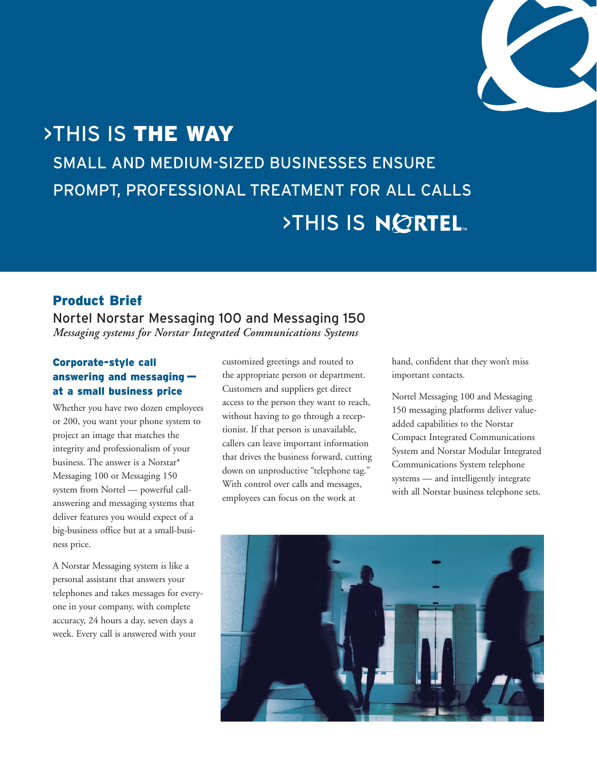

# >THIS IS THE WAY SMALL AND MEDIUM-SIZED BUSINESSES ENSURE PROMPT, PROFESSIONAL TREATMENT FOR ALL CALLS **>THIS IS NORTEL**

## Product Brief

Nortel Norstar Messaging 100 and Messaging 150 *Messaging systems for Norstar Integrated Communications Systems*

## Corporate-style call answering and messaging at a small business price

Whether you have two dozen employees or 200, you want your phone system to project an image that matches the integrity and professionalism of your business. The answer is a Norstar\* Messaging 100 or Messaging 150 system from Nortel — powerful callanswering and messaging systems that deliver features you would expect of a big-business office but at a small-business price.

A Norstar Messaging system is like a personal assistant that answers your telephones and takes messages for everyone in your company, with complete accuracy, 24 hours a day, seven days a week. Every call is answered with your

customized greetings and routed to the appropriate person or department. Customers and suppliers get direct access to the person they want to reach, without having to go through a receptionist. If that person is unavailable, callers can leave important information that drives the business forward, cutting down on unproductive "telephone tag." With control over calls and messages, employees can focus on the work at

hand, confident that they won't miss important contacts.

Nortel Messaging 100 and Messaging 150 messaging platforms deliver valueadded capabilities to the Norstar Compact Integrated Communications System and Norstar Modular Integrated Communications System telephone systems — and intelligently integrate with all Norstar business telephone sets.

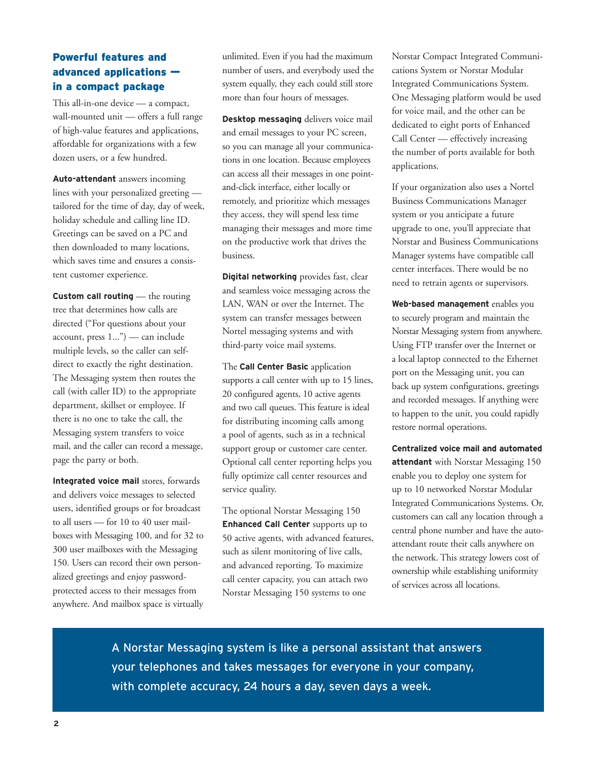## Powerful features and advanced applications in a compact package

This all-in-one device — a compact, wall-mounted unit — offers a full range of high-value features and applications, affordable for organizations with a few dozen users, or a few hundred.

**Auto-attendant** answers incoming lines with your personalized greeting tailored for the time of day, day of week, holiday schedule and calling line ID. Greetings can be saved on a PC and then downloaded to many locations, which saves time and ensures a consistent customer experience.

**Custom call routing** — the routing tree that determines how calls are directed ("For questions about your account, press 1...") — can include multiple levels, so the caller can selfdirect to exactly the right destination. The Messaging system then routes the call (with caller ID) to the appropriate department, skillset or employee. If there is no one to take the call, the Messaging system transfers to voice mail, and the caller can record a message, page the party or both.

**Integrated voice mail** stores, forwards and delivers voice messages to selected users, identified groups or for broadcast to all users — for 10 to 40 user mailboxes with Messaging 100, and for 32 to 300 user mailboxes with the Messaging 150. Users can record their own personalized greetings and enjoy passwordprotected access to their messages from anywhere. And mailbox space is virtually unlimited. Even if you had the maximum number of users, and everybody used the system equally, they each could still store more than four hours of messages.

**Desktop messaging** delivers voice mail and email messages to your PC screen, so you can manage all your communications in one location. Because employees can access all their messages in one pointand-click interface, either locally or remotely, and prioritize which messages they access, they will spend less time managing their messages and more time on the productive work that drives the business.

**Digital networking** provides fast, clear and seamless voice messaging across the LAN, WAN or over the Internet. The system can transfer messages between Nortel messaging systems and with third-party voice mail systems.

The **Call Center Basic** application supports a call center with up to 15 lines, 20 configured agents, 10 active agents and two call queues. This feature is ideal for distributing incoming calls among a pool of agents, such as in a technical support group or customer care center. Optional call center reporting helps you fully optimize call center resources and service quality.

The optional Norstar Messaging 150 **Enhanced Call Center** supports up to 50 active agents, with advanced features, such as silent monitoring of live calls, and advanced reporting. To maximize call center capacity, you can attach two Norstar Messaging 150 systems to one

Norstar Compact Integrated Communications System or Norstar Modular Integrated Communications System. One Messaging platform would be used for voice mail, and the other can be dedicated to eight ports of Enhanced Call Center — effectively increasing the number of ports available for both applications.

If your organization also uses a Nortel Business Communications Manager system or you anticipate a future upgrade to one, you'll appreciate that Norstar and Business Communications Manager systems have compatible call center interfaces. There would be no need to retrain agents or supervisors.

**Web-based management** enables you to securely program and maintain the Norstar Messaging system from anywhere. Using FTP transfer over the Internet or a local laptop connected to the Ethernet port on the Messaging unit, you can back up system configurations, greetings and recorded messages. If anything were to happen to the unit, you could rapidly restore normal operations.

**Centralized voice mail and automated attendant** with Norstar Messaging 150 enable you to deploy one system for up to 10 networked Norstar Modular Integrated Communications Systems. Or, customers can call any location through a central phone number and have the autoattendant route their calls anywhere on the network. This strategy lowers cost of ownership while establishing uniformity of services across all locations.

A Norstar Messaging system is like a personal assistant that answers your telephones and takes messages for everyone in your company, with complete accuracy, 24 hours a day, seven days a week.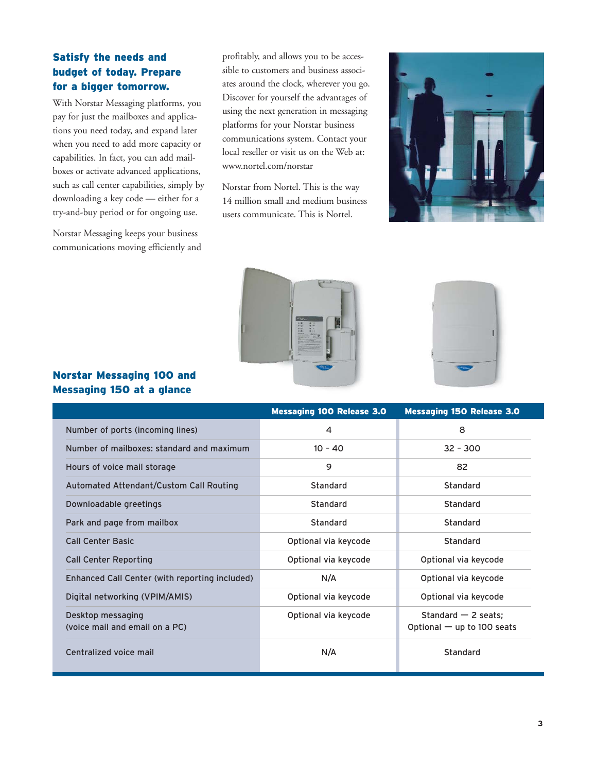## Satisfy the needs and budget of today. Prepare for a bigger tomorrow.

With Norstar Messaging platforms, you pay for just the mailboxes and applications you need today, and expand later when you need to add more capacity or capabilities. In fact, you can add mailboxes or activate advanced applications, such as call center capabilities, simply by downloading a key code — either for a try-and-buy period or for ongoing use.

Norstar Messaging keeps your business communications moving efficiently and

profitably, and allows you to be accessible to customers and business associates around the clock, wherever you go. Discover for yourself the advantages of using the next generation in messaging platforms for your Norstar business communications system. Contact your local reseller or visit us on the Web at: www.nortel.com/norstar

Norstar from Nortel. This is the way 14 million small and medium business users communicate. This is Nortel.







#### Norstar Messaging 100 and Messaging 150 at a glance

|                                                     | <b>Messaging 100 Release 3.0</b> | <b>Messaging 150 Release 3.0</b>                      |
|-----------------------------------------------------|----------------------------------|-------------------------------------------------------|
| Number of ports (incoming lines)                    | $\overline{4}$                   | 8                                                     |
| Number of mailboxes: standard and maximum           | $10 - 40$                        | $32 - 300$                                            |
| Hours of voice mail storage                         | 9                                | 82                                                    |
| Automated Attendant/Custom Call Routing             | Standard                         | Standard                                              |
| Downloadable greetings                              | Standard                         | Standard                                              |
| Park and page from mailbox                          | Standard                         | Standard                                              |
| <b>Call Center Basic</b>                            | Optional via keycode             | Standard                                              |
| <b>Call Center Reporting</b>                        | Optional via keycode             | Optional via keycode                                  |
| Enhanced Call Center (with reporting included)      | N/A                              | Optional via keycode                                  |
| Digital networking (VPIM/AMIS)                      | Optional via keycode             | Optional via keycode                                  |
| Desktop messaging<br>(voice mail and email on a PC) | Optional via keycode             | Standard $-$ 2 seats;<br>Optional $-$ up to 100 seats |
| Centralized voice mail                              | N/A                              | Standard                                              |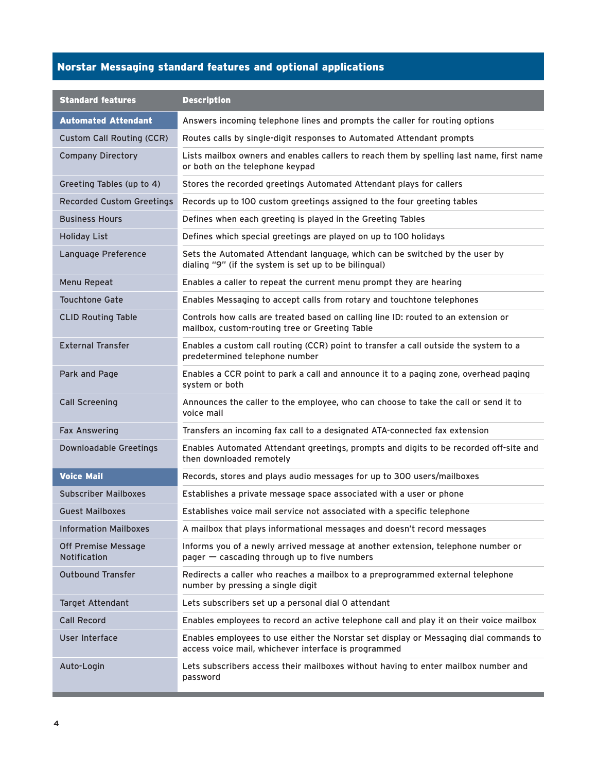# Norstar Messaging standard features and optional applications

| <b>Standard features</b>                   | <b>Description</b>                                                                                                                            |  |
|--------------------------------------------|-----------------------------------------------------------------------------------------------------------------------------------------------|--|
| <b>Automated Attendant</b>                 | Answers incoming telephone lines and prompts the caller for routing options                                                                   |  |
| <b>Custom Call Routing (CCR)</b>           | Routes calls by single-digit responses to Automated Attendant prompts                                                                         |  |
| <b>Company Directory</b>                   | Lists mailbox owners and enables callers to reach them by spelling last name, first name<br>or both on the telephone keypad                   |  |
| Greeting Tables (up to 4)                  | Stores the recorded greetings Automated Attendant plays for callers                                                                           |  |
| <b>Recorded Custom Greetings</b>           | Records up to 100 custom greetings assigned to the four greeting tables                                                                       |  |
| <b>Business Hours</b>                      | Defines when each greeting is played in the Greeting Tables                                                                                   |  |
| <b>Holiday List</b>                        | Defines which special greetings are played on up to 100 holidays                                                                              |  |
| Language Preference                        | Sets the Automated Attendant language, which can be switched by the user by<br>dialing "9" (if the system is set up to be bilingual)          |  |
| Menu Repeat                                | Enables a caller to repeat the current menu prompt they are hearing                                                                           |  |
| <b>Touchtone Gate</b>                      | Enables Messaging to accept calls from rotary and touchtone telephones                                                                        |  |
| <b>CLID Routing Table</b>                  | Controls how calls are treated based on calling line ID: routed to an extension or<br>mailbox, custom-routing tree or Greeting Table          |  |
| <b>External Transfer</b>                   | Enables a custom call routing (CCR) point to transfer a call outside the system to a<br>predetermined telephone number                        |  |
| Park and Page                              | Enables a CCR point to park a call and announce it to a paging zone, overhead paging<br>system or both                                        |  |
| <b>Call Screening</b>                      | Announces the caller to the employee, who can choose to take the call or send it to<br>voice mail                                             |  |
| <b>Fax Answering</b>                       | Transfers an incoming fax call to a designated ATA-connected fax extension                                                                    |  |
| <b>Downloadable Greetings</b>              | Enables Automated Attendant greetings, prompts and digits to be recorded off-site and<br>then downloaded remotely                             |  |
| <b>Voice Mail</b>                          | Records, stores and plays audio messages for up to 300 users/mailboxes                                                                        |  |
| <b>Subscriber Mailboxes</b>                | Establishes a private message space associated with a user or phone                                                                           |  |
| <b>Guest Mailboxes</b>                     | Establishes voice mail service not associated with a specific telephone                                                                       |  |
| <b>Information Mailboxes</b>               | A mailbox that plays informational messages and doesn't record messages                                                                       |  |
| Off Premise Message<br><b>Notification</b> | Informs you of a newly arrived message at another extension, telephone number or<br>pager - cascading through up to five numbers              |  |
| <b>Outbound Transfer</b>                   | Redirects a caller who reaches a mailbox to a preprogrammed external telephone<br>number by pressing a single digit                           |  |
| Target Attendant                           | Lets subscribers set up a personal dial 0 attendant                                                                                           |  |
| <b>Call Record</b>                         | Enables employees to record an active telephone call and play it on their voice mailbox                                                       |  |
| User Interface                             | Enables employees to use either the Norstar set display or Messaging dial commands to<br>access voice mail, whichever interface is programmed |  |
| Auto-Login                                 | Lets subscribers access their mailboxes without having to enter mailbox number and<br>password                                                |  |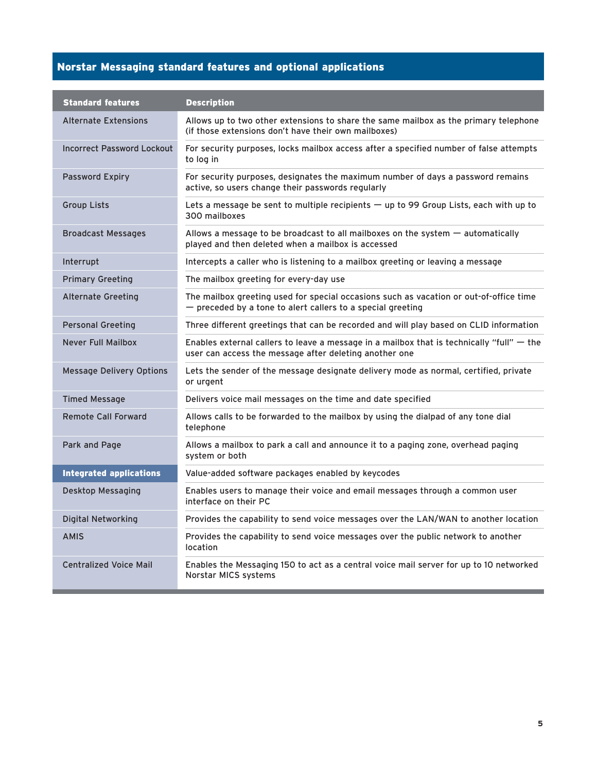# Norstar Messaging standard features and optional applications

| <b>Standard features</b>          | <b>Description</b>                                                                                                                                      |
|-----------------------------------|---------------------------------------------------------------------------------------------------------------------------------------------------------|
| <b>Alternate Extensions</b>       | Allows up to two other extensions to share the same mailbox as the primary telephone<br>(if those extensions don't have their own mailboxes)            |
| <b>Incorrect Password Lockout</b> | For security purposes, locks mailbox access after a specified number of false attempts<br>to log in                                                     |
| <b>Password Expiry</b>            | For security purposes, designates the maximum number of days a password remains<br>active, so users change their passwords regularly                    |
| <b>Group Lists</b>                | Lets a message be sent to multiple recipients $-$ up to 99 Group Lists, each with up to<br>300 mailboxes                                                |
| Broadcast Messages                | Allows a message to be broadcast to all mailboxes on the system $-$ automatically<br>played and then deleted when a mailbox is accessed                 |
| Interrupt                         | Intercepts a caller who is listening to a mailbox greeting or leaving a message                                                                         |
| <b>Primary Greeting</b>           | The mailbox greeting for every-day use                                                                                                                  |
| <b>Alternate Greeting</b>         | The mailbox greeting used for special occasions such as vacation or out-of-office time<br>$-$ preceded by a tone to alert callers to a special greeting |
| <b>Personal Greeting</b>          | Three different greetings that can be recorded and will play based on CLID information                                                                  |
| <b>Never Full Mailbox</b>         | Enables external callers to leave a message in a mailbox that is technically "full" $-$ the<br>user can access the message after deleting another one   |
| <b>Message Delivery Options</b>   | Lets the sender of the message designate delivery mode as normal, certified, private<br>or urgent                                                       |
| <b>Timed Message</b>              | Delivers voice mail messages on the time and date specified                                                                                             |
| <b>Remote Call Forward</b>        | Allows calls to be forwarded to the mailbox by using the dialpad of any tone dial<br>telephone                                                          |
| Park and Page                     | Allows a mailbox to park a call and announce it to a paging zone, overhead paging<br>system or both                                                     |
| <b>Integrated applications</b>    | Value-added software packages enabled by keycodes                                                                                                       |
| Desktop Messaging                 | Enables users to manage their voice and email messages through a common user<br>interface on their PC                                                   |
| <b>Digital Networking</b>         | Provides the capability to send voice messages over the LAN/WAN to another location                                                                     |
| <b>AMIS</b>                       | Provides the capability to send voice messages over the public network to another<br>location                                                           |
| <b>Centralized Voice Mail</b>     | Enables the Messaging 150 to act as a central voice mail server for up to 10 networked<br>Norstar MICS systems                                          |